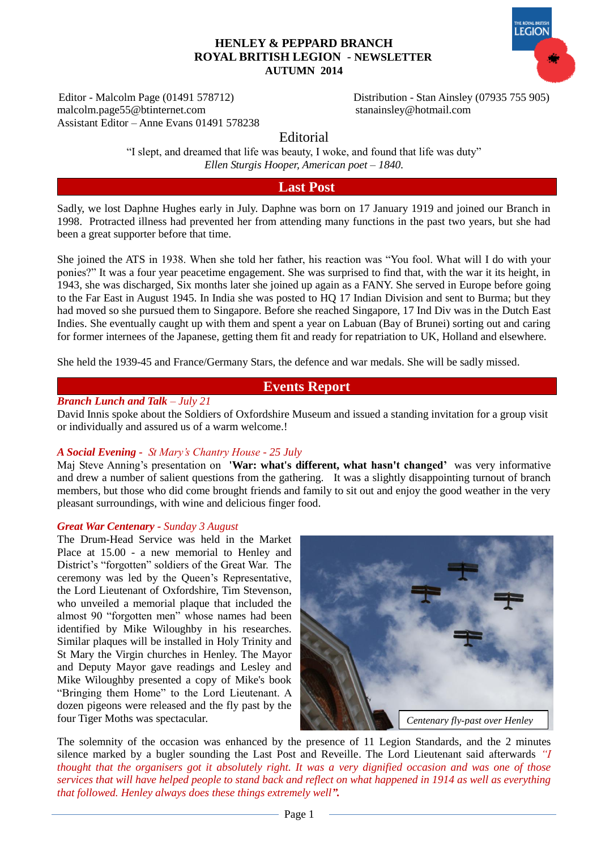#### Editor - Malcolm Page (01491 578712) Distribution - Stan Ainsley (07935 755 905) malcolm.page55@btinternet.com [stanainsley@hotmail.com](mailto:stanainsley@hotmail.com) Assistant Editor – Anne Evans 01491 578238

**EGION** 

Editorial

"I slept, and dreamed that life was beauty, I woke, and found that life was duty" *Ellen Sturgis Hooper, American poet – 1840.*

# **Last Post**

Sadly, we lost Daphne Hughes early in July. Daphne was born on 17 January 1919 and joined our Branch in 1998. Protracted illness had prevented her from attending many functions in the past two years, but she had been a great supporter before that time.

She joined the ATS in 1938. When she told her father, his reaction was "You fool. What will I do with your ponies?" It was a four year peacetime engagement. She was surprised to find that, with the war it its height, in 1943, she was discharged, Six months later she joined up again as a FANY. She served in Europe before going to the Far East in August 1945. In India she was posted to HQ 17 Indian Division and sent to Burma; but they had moved so she pursued them to Singapore. Before she reached Singapore, 17 Ind Div was in the Dutch East Indies. She eventually caught up with them and spent a year on Labuan (Bay of Brunei) sorting out and caring for former internees of the Japanese, getting them fit and ready for repatriation to UK, Holland and elsewhere.

She held the 1939-45 and France/Germany Stars, the defence and war medals. She will be sadly missed.

# **Events Report**

### *Branch Lunch and Talk – July 21*

David Innis spoke about the Soldiers of Oxfordshire Museum and issued a standing invitation for a group visit or individually and assured us of a warm welcome.!

#### *A Social Evening - St Mary's Chantry House - 25 July*

Maj Steve Anning's presentation on **'War: what's different, what hasn't changed'** was very informative and drew a number of salient questions from the gathering. It was a slightly disappointing turnout of branch members, but those who did come brought friends and family to sit out and enjoy the good weather in the very pleasant surroundings, with wine and delicious finger food.

#### *Great War Centenary - Sunday 3 August*

The Drum-Head Service was held in the Market Place at 15.00 - a new memorial to Henley and District's "forgotten" soldiers of the Great War. The ceremony was led by the Queen's Representative, the Lord Lieutenant of Oxfordshire, Tim Stevenson, who unveiled a memorial plaque that included the almost 90 "forgotten men" whose names had been identified by Mike Wiloughby in his researches. Similar plaques will be installed in Holy Trinity and St Mary the Virgin churches in Henley. The Mayor and Deputy Mayor gave readings and Lesley and Mike Wiloughby presented a copy of Mike's book "Bringing them Home" to the Lord Lieutenant. A dozen pigeons were released and the fly past by the four Tiger Moths was spectacular.



The solemnity of the occasion was enhanced by the presence of 11 Legion Standards, and the 2 minutes silence marked by a bugler sounding the Last Post and Reveille. The Lord Lieutenant said afterwards *"I thought that the organisers got it absolutely right. It was a very dignified occasion and was one of those services that will have helped people to stand back and reflect on what happened in 1914 as well as everything that followed. Henley always does these things extremely well".*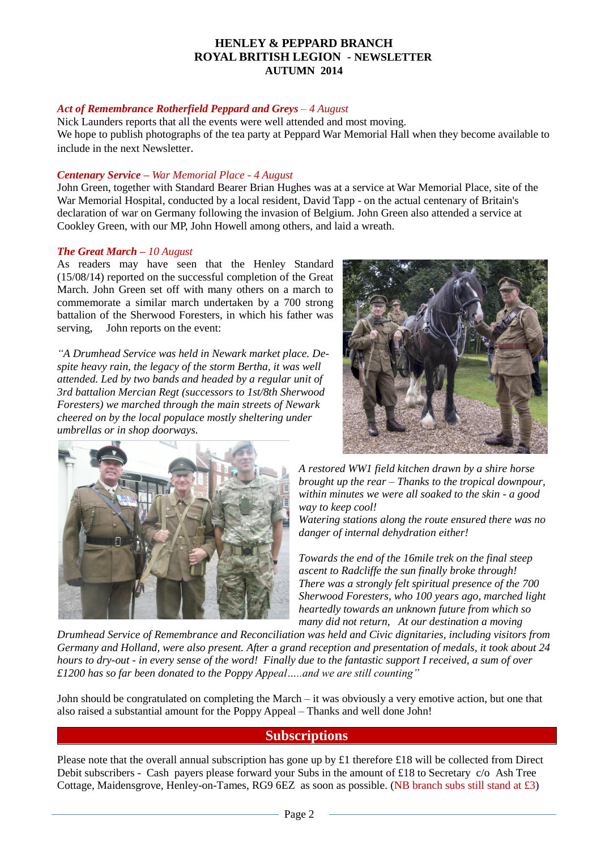## *Act of Remembrance Rotherfield Peppard and Greys – 4 August*

Nick Launders reports that all the events were well attended and most moving. We hope to publish photographs of the tea party at Peppard War Memorial Hall when they become available to include in the next Newsletter.

#### *Centenary Service – War Memorial Place - 4 August*

John Green, together with Standard Bearer Brian Hughes was at a service at War Memorial Place, site of the War Memorial Hospital, conducted by a local resident, David Tapp - on the actual centenary of Britain's declaration of war on Germany following the invasion of Belgium. John Green also attended a service at Cookley Green, with our MP, John Howell among others, and laid a wreath.

#### *The Great March – 10 August*

As readers may have seen that the Henley Standard (15/08/14) reported on the successful completion of the Great March. John Green set off with many others on a march to commemorate a similar march undertaken by a 700 strong battalion of the Sherwood Foresters, in which his father was serving, John reports on the event:

*"A Drumhead Service was held in Newark market place. Despite heavy rain, the legacy of the storm Bertha, it was well attended. Led by two bands and headed by a regular unit of 3rd battalion Mercian Regt (successors to 1st/8th Sherwood Foresters) we marched through the main streets of Newark cheered on by the local populace mostly sheltering under umbrellas or in shop doorways.* 





*A restored WW1 field kitchen drawn by a shire horse brought up the rear – Thanks to the tropical downpour, within minutes we were all soaked to the skin - a good way to keep cool!*

*Watering stations along the route ensured there was no danger of internal dehydration either!*

*Towards the end of the 16mile trek on the final steep ascent to Radcliffe the sun finally broke through! There was a strongly felt spiritual presence of the 700 Sherwood Foresters, who 100 years ago, marched light heartedly towards an unknown future from which so many did not return, At our destination a moving* 

*Drumhead Service of Remembrance and Reconciliation was held and Civic dignitaries, including visitors from Germany and Holland, were also present. After a grand reception and presentation of medals, it took about 24 hours to dry-out - in every sense of the word! Finally due to the fantastic support I received, a sum of over £1200 has so far been donated to the Poppy Appeal…..and we are still counting"*

John should be congratulated on completing the March – it was obviously a very emotive action, but one that also raised a substantial amount for the Poppy Appeal – Thanks and well done John!

# **Subscriptions**

Please note that the overall annual subscription has gone up by £1 therefore £18 will be collected from Direct Debit subscribers - Cash payers please forward your Subs in the amount of £18 to Secretary c/o Ash Tree Cottage, Maidensgrove, Henley-on-Tames, RG9 6EZ as soon as possible. (NB branch subs still stand at £3)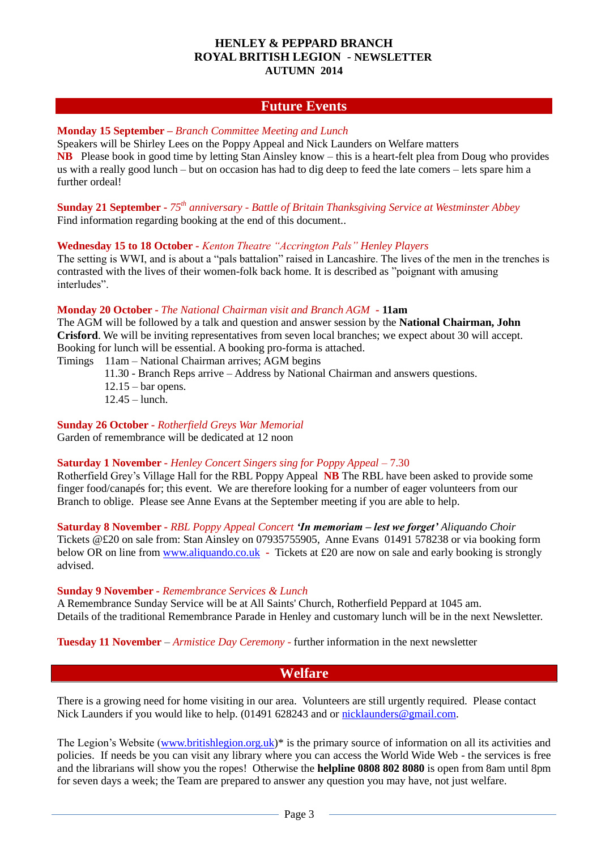# **Future Events**

## **Monday 15 September –** *Branch Committee Meeting and Lunch*

Speakers will be Shirley Lees on the Poppy Appeal and Nick Launders on Welfare matters **NB** Please book in good time by letting Stan Ainsley know – this is a heart-felt plea from Doug who provides us with a really good lunch – but on occasion has had to dig deep to feed the late comers – lets spare him a further ordeal!

**Sunday 21 September -** *75th anniversary - Battle of Britain Thanksgiving Service at Westminster Abbey* Find information regarding booking at the end of this document..

### **Wednesday 15 to 18 October -** *Kenton Theatre "Accrington Pals" Henley Players*

The setting is WWI, and is about a "pals battalion" raised in Lancashire. The lives of the men in the trenches is contrasted with the lives of their women-folk back home. It is described as "poignant with amusing interludes".

### **Monday 20 October -** *The National Chairman visit and Branch AGM* **- 11am**

The AGM will be followed by a talk and question and answer session by the **National Chairman, John Crisford**. We will be inviting representatives from seven local branches; we expect about 30 will accept. Booking for lunch will be essential. A booking pro-forma is attached.

Timings 11am – National Chairman arrives; AGM begins

11.30 - Branch Reps arrive – Address by National Chairman and answers questions.

- $12.15 bar opens.$
- 12.45 lunch.

# **Sunday 26 October -** *Rotherfield Greys War Memorial*

Garden of remembrance will be dedicated at 12 noon

# **Saturday 1 November -** *Henley Concert Singers sing for Poppy Appeal* – 7.30

Rotherfield Grey's Village Hall for the RBL Poppy Appeal **NB** The RBL have been asked to provide some finger food/canapés for; this event. We are therefore looking for a number of eager volunteers from our Branch to oblige. Please see Anne Evans at the September meeting if you are able to help.

### **Saturday 8 November -** *RBL Poppy Appeal Concert 'In memoriam – lest we forget' Aliquando Choir*

Tickets @£20 on sale from: Stan Ainsley on 07935755905, Anne Evans 01491 578238 or via booking form below OR on line from [www.aliquando.co.uk](http://www.aliquando.co.uk/) **-** Tickets at £20 are now on sale and early booking is strongly advised.

**Sunday 9 November -** *Remembrance Services & Lunch*

A Remembrance Sunday Service will be at All Saints' Church, Rotherfield Peppard at 1045 am. Details of the traditional Remembrance Parade in Henley and customary lunch will be in the next Newsletter.

**Tuesday 11 November** – *Armistice Day Ceremony* - further information in the next newsletter

# **Welfare**

There is a growing need for home visiting in our area. Volunteers are still urgently required. Please contact Nick Launders if you would like to help.  $(01491 628243$  and or [nicklaunders@gmail.com.](mailto:nicklaunders@gmail.com)

The Legion's Website [\(www.britishlegion.org.uk\)](http://www.britishlegion.org.uk/)\* is the primary source of information on all its activities and policies. If needs be you can visit any library where you can access the World Wide Web - the services is free and the librarians will show you the ropes! Otherwise the **helpline 0808 802 8080** is open from 8am until 8pm for seven days a week; the Team are prepared to answer any question you may have, not just welfare.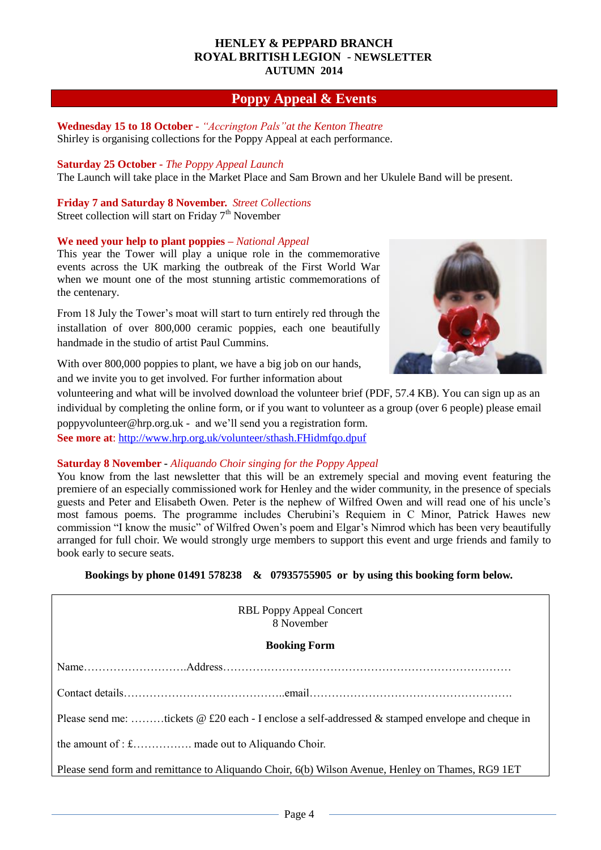# **Poppy Appeal & Events**

#### **Wednesday 15 to 18 October -** *"Accrington Pals"at the Kenton Theatre* Shirley is organising collections for the Poppy Appeal at each performance.

**Saturday 25 October -** *The Poppy Appeal Launch* The Launch will take place in the Market Place and Sam Brown and her Ukulele Band will be present.

**Friday 7 and Saturday 8 November.** *Street Collections*

Street collection will start on Friday  $7<sup>th</sup>$  November

# **We need your help to plant poppies –** *National Appeal*

This year the Tower will play a unique role in the commemorative events across the UK marking the outbreak of the First World War when we mount one of the most stunning artistic commemorations of the centenary.

From 18 July the Tower's moat will start to turn entirely red through the installation of over 800,000 ceramic poppies, each one beautifully handmade in the studio of artist Paul Cummins.



With over 800,000 poppies to plant, we have a big job on our hands, and we invite you to get involved. For further information about

volunteering and what will be involved [download](http://www.hrp.org.uk/Resources/PoppyVolunteerBrief2014_2.pdf) the volunteer brief (PDF, 57.4 KB). You can sign up as an individual by [completing](http://bit.ly/poppyvolunteers) the online form, or if you want to volunteer as a group (over 6 people) please email [poppyvolunteer@hrp.org.uk](mailto:poppyvolunteer@hrp.org.uk) - and we'll send you a registration form. **See more at:**<http://www.hrp.org.uk/volunteer/sthash.FHidmfqo.dpuf>

#### **Saturday 8 November -** *Aliquando Choir singing for the Poppy Appeal*

You know from the last newsletter that this will be an extremely special and moving event featuring the premiere of an especially commissioned work for Henley and the wider community, in the presence of specials guests and Peter and Elisabeth Owen. Peter is the nephew of Wilfred Owen and will read one of his uncle's most famous poems. The programme includes Cherubini's Requiem in C Minor, Patrick Hawes new commission "I know the music" of Wilfred Owen's poem and Elgar's Nimrod which has been very beautifully arranged for full choir. We would strongly urge members to support this event and urge friends and family to book early to secure seats.

**Bookings by phone 01491 578238 & 07935755905 or by using this booking form below.**

| <b>RBL Poppy Appeal Concert</b><br>8 November                                                     |
|---------------------------------------------------------------------------------------------------|
| <b>Booking Form</b>                                                                               |
|                                                                                                   |
|                                                                                                   |
| Please send me: tickets @ £20 each - I enclose a self-addressed & stamped envelope and cheque in  |
|                                                                                                   |
| Please send form and remittance to Aliquando Choir, 6(b) Wilson Avenue, Henley on Thames, RG9 1ET |